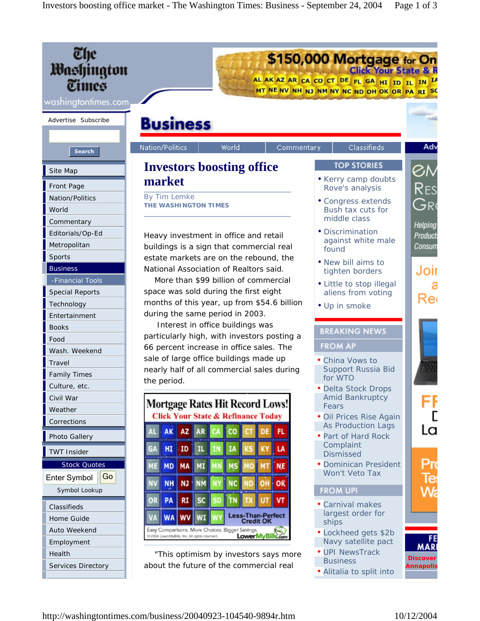| Che<br>Washington<br>Times<br>washingtontimes.com                         |                                                                                                                                                                                           | \$150,000 Mortgage for On<br>AL AK AZ AR CA CO CT DE FL GA HI ID IL IN IA<br>MT NE NV NH NJ NM NY NC ND OH OK OR PA RI SC |                                     |
|---------------------------------------------------------------------------|-------------------------------------------------------------------------------------------------------------------------------------------------------------------------------------------|---------------------------------------------------------------------------------------------------------------------------|-------------------------------------|
| Advertise Subscribe                                                       | <b>Business</b>                                                                                                                                                                           |                                                                                                                           |                                     |
| <b>Search</b>                                                             | Nation/Politics<br>World<br>Commentary                                                                                                                                                    | Classifieds                                                                                                               | Adv                                 |
| Site Map                                                                  | <b>Investors boosting office</b>                                                                                                                                                          | <b>TOP STORIES</b>                                                                                                        | ØМ                                  |
| Front Page                                                                | market                                                                                                                                                                                    | • Kerry camp doubts<br>Rove's analysis                                                                                    | Res                                 |
| Nation/Politics<br>World                                                  | By Tim Lemke<br>THE WASHINGTON TIMES                                                                                                                                                      | • Congress extends<br>Bush tax cuts for<br>middle class                                                                   | Gre                                 |
| Commentary<br>Editorials/Op-Ed<br>Metropolitan                            | Heavy investment in office and retail<br>buildings is a sign that commercial real                                                                                                         | • Discrimination<br>against white male<br>found                                                                           | Helping<br>Product<br>Consum        |
| Sports<br><b>Business</b><br>-Financial Tools                             | estate markets are on the rebound, the<br>National Association of Realtors said.<br>More than \$99 billion of commercial                                                                  | • New bill aims to<br>tighten borders                                                                                     | Joir                                |
| <b>Special Reports</b><br>Technology                                      | space was sold during the first eight<br>months of this year, up from \$54.6 billion<br>during the same period in 2003.                                                                   | • Little to stop illegal<br>aliens from voting<br>• Up in smoke                                                           | Rei                                 |
| Entertainment<br><b>Books</b><br>Food                                     | Interest in office buildings was<br>particularly high, with investors posting a                                                                                                           | <b>BREAKING NEWS</b>                                                                                                      |                                     |
| Wash. Weekend<br>Travel<br><b>Family Times</b>                            | 66 percent increase in office sales. The<br>sale of large office buildings made up<br>nearly half of all commercial sales during                                                          | <b>FROM AP</b><br>• China Vows to<br>Support Russia Bid<br>for WTO                                                        |                                     |
| Culture, etc.<br>Civil War<br>Weather                                     | the period.<br>Mortgage Rates Hit Record Lows!                                                                                                                                            | · Delta Stock Drops<br><b>Amid Bankruptcy</b><br>Fears                                                                    |                                     |
| Corrections<br>Photo Gallery                                              | <b>Click Your State &amp; Refinance Today</b><br>AZ AR<br><b>AK</b><br>FL.                                                                                                                | · Oil Prices Rise Again<br><b>As Production Lags</b><br>• Part of Hard Rock                                               | La                                  |
| <b>TWT Insider</b>                                                        | HĮ<br>ID<br>LA<br>c۷                                                                                                                                                                      | Complaint<br><b>Dismissed</b>                                                                                             |                                     |
| <b>Stock Quotes</b><br>Go<br>Enter Symbol<br>Symbol Lookup<br>Classifieds | <b>MD</b><br>MA<br><b>NE</b><br>MI<br><b>NH</b><br><b>NJ</b><br><b>NM</b><br>OŔ<br>PA<br><b>RI</b><br><b>SC</b><br>VT                                                                     | • Dominican President<br>Won't Veto Tax<br><b>FROM UPI</b><br>• Carnival makes                                            | Pro<br>le                           |
| Home Guide<br>Auto Weekend<br>Employment                                  | <b>Less-Than-Perfect</b><br>WI<br><b>WA WV</b><br><b>Credit OK</b><br>Easy Comparisons. More Choices. Bigger Savings.<br>LowerMyBills.com<br>2004 LowerMyBills, Inc. All rights reserved. | largest order for<br>ships<br>• Lockheed gets \$2b<br>Navy satellite pact                                                 | FE<br><b>MAR</b>                    |
| Health<br>Services Directory                                              | "This optimism by investors says more<br>about the future of the commercial real                                                                                                          | • UPI NewsTrack<br><b>Business</b><br>• Alitalia to split into                                                            | <b>Discover</b><br><b>Annapolis</b> |

http://washingtontimes.com/business/20040923-104540-9894r.htm 10/12/2004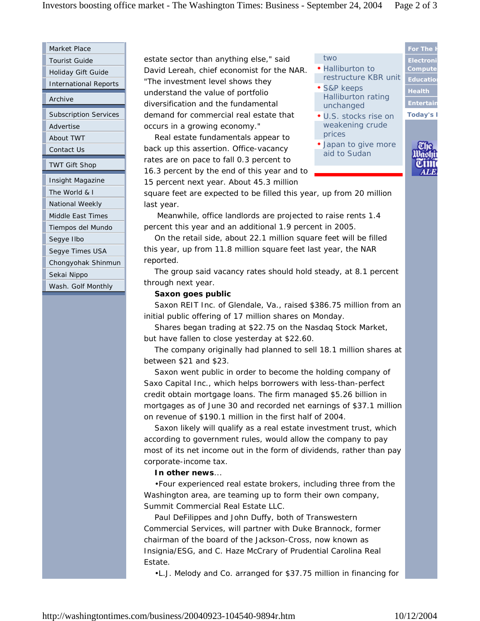Market Place Tourist Guide

Holiday Gift Guide

International Reports

Archive

Subscription Services Advertise About TWT

Contact Us

TWT Gift Shop

Insight Magazine

The World & I

National Weekly

Middle East Times

Tiempos del Mundo

Segye Ilbo

Segye Times USA

Chongyohak Shinmun

Sekai Nippo

Wash. Golf Monthly

estate sector than anything else," said David Lereah, chief economist for the NAR. "The investment level shows they understand the value of portfolio diversification and the fundamental demand for commercial real estate that occurs in a growing economy."

 Real estate fundamentals appear to back up this assertion. Office-vacancy rates are on pace to fall 0.3 percent to 16.3 percent by the end of this year and to 15 percent next year. About 45.3 million



square feet are expected to be filled this year, up from 20 million last year.

 Meanwhile, office landlords are projected to raise rents 1.4 percent this year and an additional 1.9 percent in 2005.

 On the retail side, about 22.1 million square feet will be filled this year, up from 11.8 million square feet last year, the NAR reported.

 The group said vacancy rates should hold steady, at 8.1 percent through next year.

## **Saxon goes public**

 Saxon REIT Inc. of Glendale, Va., raised \$386.75 million from an initial public offering of 17 million shares on Monday.

 Shares began trading at \$22.75 on the Nasdaq Stock Market, but have fallen to close yesterday at \$22.60.

 The company originally had planned to sell 18.1 million shares at between \$21 and \$23.

 Saxon went public in order to become the holding company of Saxo Capital Inc., which helps borrowers with less-than-perfect credit obtain mortgage loans. The firm managed \$5.26 billion in mortgages as of June 30 and recorded net earnings of \$37.1 million on revenue of \$190.1 million in the first half of 2004.

 Saxon likely will qualify as a real estate investment trust, which according to government rules, would allow the company to pay most of its net income out in the form of dividends, rather than pay corporate-income tax.

**In other news**...

 •Four experienced real estate brokers, including three from the Washington area, are teaming up to form their own company, Summit Commercial Real Estate LLC.

 Paul DeFilippes and John Duffy, both of Transwestern Commercial Services, will partner with Duke Brannock, former chairman of the board of the Jackson-Cross, now known as Insignia/ESG, and C. Haze McCrary of Prudential Carolina Real Estate.

•L.J. Melody and Co. arranged for \$37.75 million in financing for